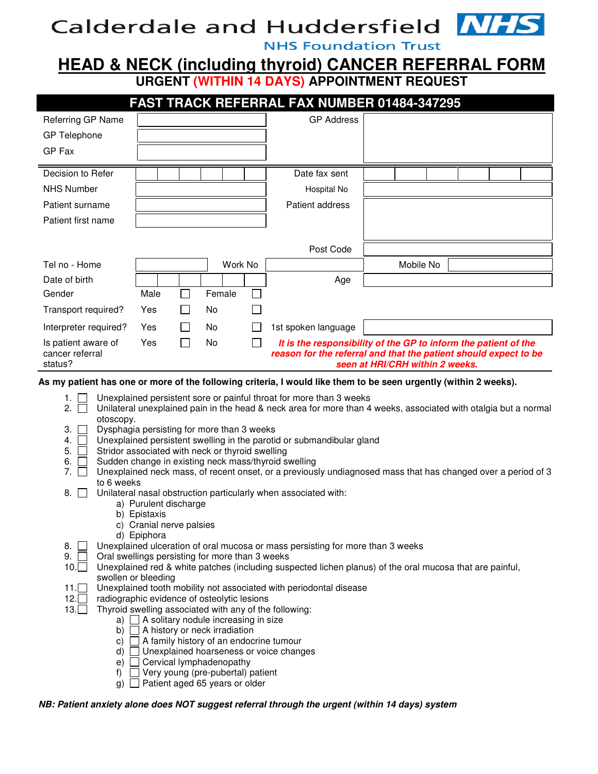# **Calderdale and Huddersfield**

**NHS Foundation Trust** 

# **HEAD & NECK (including thyroid) CANCER REFERRAL FORM URGENT (WITHIN 14 DAYS) APPOINTMENT REQUEST**

|                                                   |            |              |        |         | <b>FAST TRACK REFERRAL FAX NUMBER 01484-347295</b>                                                                                                                     |           |  |  |
|---------------------------------------------------|------------|--------------|--------|---------|------------------------------------------------------------------------------------------------------------------------------------------------------------------------|-----------|--|--|
| Referring GP Name                                 |            |              |        |         | <b>GP Address</b>                                                                                                                                                      |           |  |  |
| <b>GP</b> Telephone                               |            |              |        |         |                                                                                                                                                                        |           |  |  |
| GP Fax                                            |            |              |        |         |                                                                                                                                                                        |           |  |  |
| Decision to Refer                                 |            |              |        |         | Date fax sent                                                                                                                                                          |           |  |  |
| <b>NHS Number</b>                                 |            |              |        |         | Hospital No                                                                                                                                                            |           |  |  |
| Patient surname                                   |            |              |        |         | Patient address                                                                                                                                                        |           |  |  |
| Patient first name                                |            |              |        |         |                                                                                                                                                                        |           |  |  |
|                                                   |            |              |        |         |                                                                                                                                                                        |           |  |  |
|                                                   |            |              |        |         | Post Code                                                                                                                                                              |           |  |  |
| Tel no - Home                                     |            |              |        | Work No |                                                                                                                                                                        | Mobile No |  |  |
| Date of birth                                     |            |              |        |         | Age                                                                                                                                                                    |           |  |  |
| Gender                                            | Male       |              | Female |         |                                                                                                                                                                        |           |  |  |
| Transport required?                               | <b>Yes</b> | $\mathbf{I}$ | No.    |         |                                                                                                                                                                        |           |  |  |
| Interpreter required?                             | Yes        |              | No     |         | 1st spoken language                                                                                                                                                    |           |  |  |
| Is patient aware of<br>cancer referral<br>status? | Yes        |              | No     |         | It is the responsibility of the GP to inform the patient of the<br>reason for the referral and that the patient should expect to be<br>seen at HRI/CRH within 2 weeks. |           |  |  |

#### **As my patient has one or more of the following criteria, I would like them to be seen urgently (within 2 weeks).**

- 1.  $\Box$  Unexplained persistent sore or painful throat for more than 3 weeks
- 2. Unilateral unexplained pain in the head & neck area for more than 4 weeks, associated with otalgia but a normal otoscopy.
- 3. Dysphagia persisting for more than 3 weeks
- 4. Unexplained persistent swelling in the parotid or submandibular gland
- 5.  $\Box$  Stridor associated with neck or thyroid swelling
- 6.  $\Box$  Sudden change in existing neck mass/thyroid swelling
- 7.  $\Box$  Unexplained neck mass, of recent onset, or a previously undiagnosed mass that has changed over a period of 3 to 6 weeks
- 8. Unilateral nasal obstruction particularly when associated with:
	- a) Purulent discharge
	- b) Epistaxis
	- c) Cranial nerve palsies
	- d) Epiphora
- 8. Unexplained ulceration of oral mucosa or mass persisting for more than 3 weeks
- 
- 9.  $\Box$  Oral swellings persisting for more than 3 weeks 10.  $\Box$  Unexplained red & white patches (including susi 10. Unexplained red & white patches (including suspected lichen planus) of the oral mucosa that are painful, swollen or bleeding
- 11. Unexplained tooth mobility not associated with periodontal disease
- 12. radiographic evidence of osteolytic lesions
- 13. Thyroid swelling associated with any of the following:
	- a)  $\Box$  A solitary nodule increasing in size
		- b)  $\Box$  A history or neck irradiation
		- c)  $\Box$  A family history of an endocrine tumour
		- d) Unexplained hoarseness or voice changes
		- e) Cervical lymphadenopathy
		- f)  $\Box$  Very young (pre-pubertal) patient
		- $g)$  Patient aged 65 years or older

#### **NB: Patient anxiety alone does NOT suggest referral through the urgent (within 14 days) system**